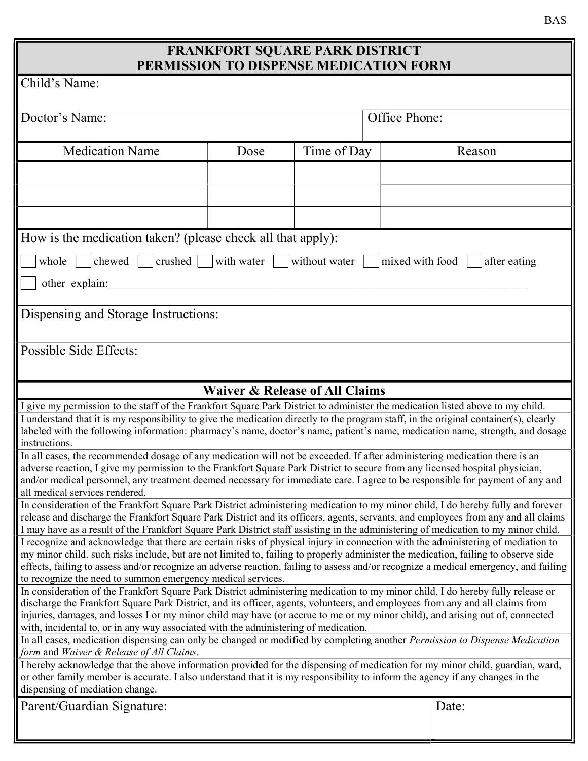## FRANKFORT SQUARE PARK DISTRICT PERMISSION TO DISPENSE MEDICATION FORM

|                                                                                                                                                                                                                                                                          | PERMISSION TO DISPENSE MEDICATION FORM    |             |  |        |  |  |  |  |  |  |  |
|--------------------------------------------------------------------------------------------------------------------------------------------------------------------------------------------------------------------------------------------------------------------------|-------------------------------------------|-------------|--|--------|--|--|--|--|--|--|--|
| Child's Name:                                                                                                                                                                                                                                                            |                                           |             |  |        |  |  |  |  |  |  |  |
| Doctor's Name:                                                                                                                                                                                                                                                           | Office Phone:                             |             |  |        |  |  |  |  |  |  |  |
| <b>Medication Name</b>                                                                                                                                                                                                                                                   | Dose                                      | Time of Day |  | Reason |  |  |  |  |  |  |  |
|                                                                                                                                                                                                                                                                          |                                           |             |  |        |  |  |  |  |  |  |  |
|                                                                                                                                                                                                                                                                          |                                           |             |  |        |  |  |  |  |  |  |  |
|                                                                                                                                                                                                                                                                          |                                           |             |  |        |  |  |  |  |  |  |  |
|                                                                                                                                                                                                                                                                          |                                           |             |  |        |  |  |  |  |  |  |  |
| How is the medication taken? (please check all that apply):                                                                                                                                                                                                              |                                           |             |  |        |  |  |  |  |  |  |  |
| crushed $\vert$<br>with water<br>mixed with food<br>whole<br>chewed<br>without water<br>after eating                                                                                                                                                                     |                                           |             |  |        |  |  |  |  |  |  |  |
|                                                                                                                                                                                                                                                                          |                                           |             |  |        |  |  |  |  |  |  |  |
| other explain:                                                                                                                                                                                                                                                           |                                           |             |  |        |  |  |  |  |  |  |  |
| Dispensing and Storage Instructions:                                                                                                                                                                                                                                     |                                           |             |  |        |  |  |  |  |  |  |  |
|                                                                                                                                                                                                                                                                          |                                           |             |  |        |  |  |  |  |  |  |  |
| Possible Side Effects:                                                                                                                                                                                                                                                   |                                           |             |  |        |  |  |  |  |  |  |  |
|                                                                                                                                                                                                                                                                          |                                           |             |  |        |  |  |  |  |  |  |  |
|                                                                                                                                                                                                                                                                          |                                           |             |  |        |  |  |  |  |  |  |  |
|                                                                                                                                                                                                                                                                          | <b>Waiver &amp; Release of All Claims</b> |             |  |        |  |  |  |  |  |  |  |
| I give my permission to the staff of the Frankfort Square Park District to administer the medication listed above to my child.<br>I understand that it is my responsibility to give the medication directly to the program staff, in the original container(s), clearly  |                                           |             |  |        |  |  |  |  |  |  |  |
| labeled with the following information: pharmacy's name, doctor's name, patient's name, medication name, strength, and dosage                                                                                                                                            |                                           |             |  |        |  |  |  |  |  |  |  |
| instructions.                                                                                                                                                                                                                                                            |                                           |             |  |        |  |  |  |  |  |  |  |
| In all cases, the recommended dosage of any medication will not be exceeded. If after administering medication there is an<br>adverse reaction, I give my permission to the Frankfort Square Park District to secure from any licensed hospital physician,               |                                           |             |  |        |  |  |  |  |  |  |  |
| and/or medical personnel, any treatment deemed necessary for immediate care. I agree to be responsible for payment of any and                                                                                                                                            |                                           |             |  |        |  |  |  |  |  |  |  |
| all medical services rendered.                                                                                                                                                                                                                                           |                                           |             |  |        |  |  |  |  |  |  |  |
| In consideration of the Frankfort Square Park District administering medication to my minor child, I do hereby fully and forever                                                                                                                                         |                                           |             |  |        |  |  |  |  |  |  |  |
| release and discharge the Frankfort Square Park District and its officers, agents, servants, and employees from any and all claims<br>I may have as a result of the Frankfort Square Park District staff assisting in the administering of medication to my minor child. |                                           |             |  |        |  |  |  |  |  |  |  |
|                                                                                                                                                                                                                                                                          |                                           |             |  |        |  |  |  |  |  |  |  |
| I recognize and acknowledge that there are certain risks of physical injury in connection with the administering of mediation to<br>my minor child. such risks include, but are not limited to, failing to properly administer the medication, failing to observe side   |                                           |             |  |        |  |  |  |  |  |  |  |
| effects, failing to assess and/or recognize an adverse reaction, failing to assess and/or recognize a medical emergency, and failing                                                                                                                                     |                                           |             |  |        |  |  |  |  |  |  |  |
| to recognize the need to summon emergency medical services.                                                                                                                                                                                                              |                                           |             |  |        |  |  |  |  |  |  |  |
| In consideration of the Frankfort Square Park District administering medication to my minor child, I do hereby fully release or<br>discharge the Frankfort Square Park District, and its officer, agents, volunteers, and employees from any and all claims from         |                                           |             |  |        |  |  |  |  |  |  |  |
| injuries, damages, and losses I or my minor child may have (or accrue to me or my minor child), and arising out of, connected                                                                                                                                            |                                           |             |  |        |  |  |  |  |  |  |  |
| with, incidental to, or in any way associated with the administering of medication.                                                                                                                                                                                      |                                           |             |  |        |  |  |  |  |  |  |  |
| In all cases, medication dispensing can only be changed or modified by completing another Permission to Dispense Medication                                                                                                                                              |                                           |             |  |        |  |  |  |  |  |  |  |
| form and Waiver & Release of All Claims.                                                                                                                                                                                                                                 |                                           |             |  |        |  |  |  |  |  |  |  |
| I hereby acknowledge that the above information provided for the dispensing of medication for my minor child, guardian, ward,<br>or other family member is accurate. I also understand that it is my responsibility to inform the agency if any changes in the           |                                           |             |  |        |  |  |  |  |  |  |  |
| dispensing of mediation change.                                                                                                                                                                                                                                          |                                           |             |  |        |  |  |  |  |  |  |  |
| Parent/Guardian Signature:                                                                                                                                                                                                                                               |                                           |             |  | Date:  |  |  |  |  |  |  |  |
|                                                                                                                                                                                                                                                                          |                                           |             |  |        |  |  |  |  |  |  |  |